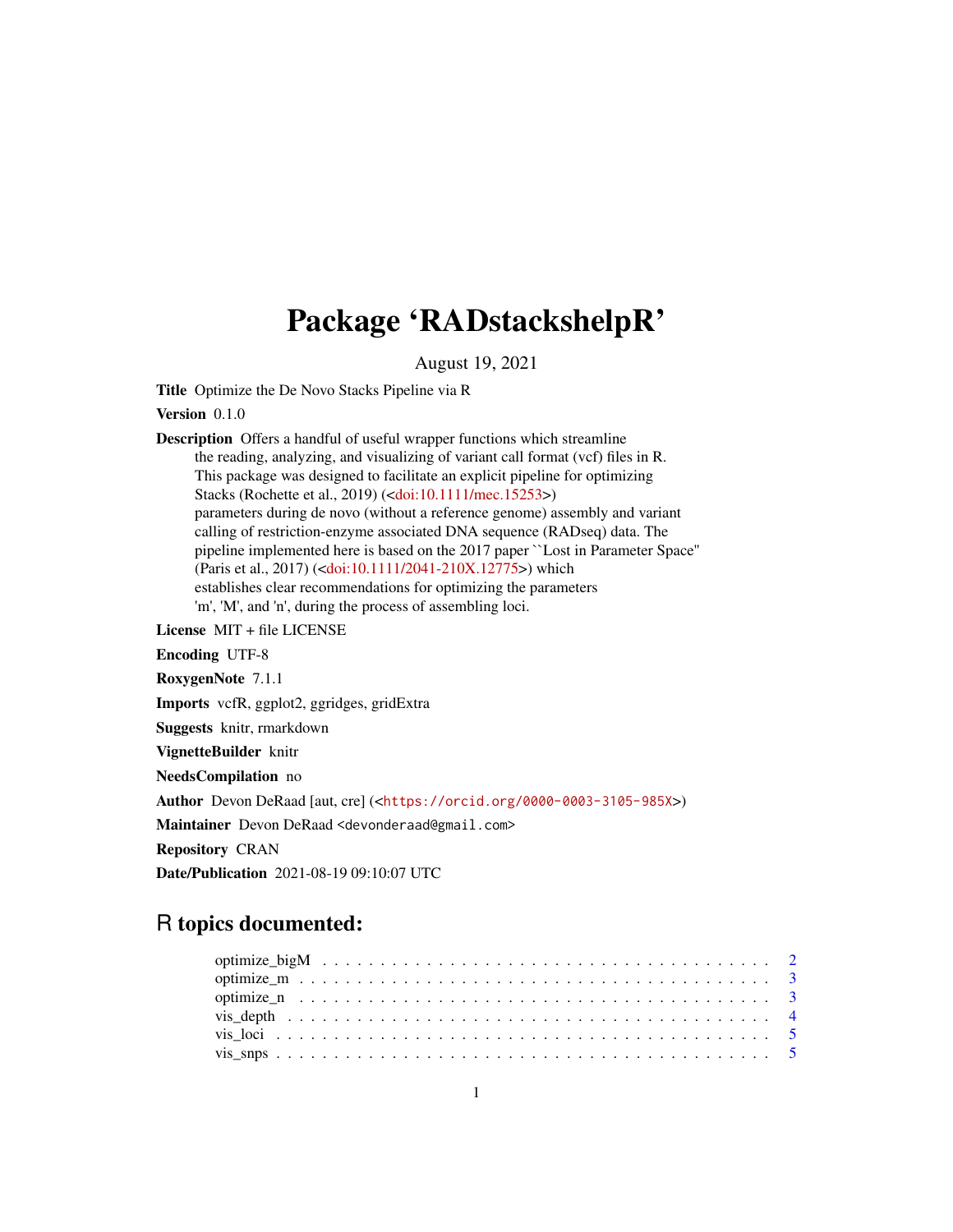# Package 'RADstackshelpR'

August 19, 2021

Title Optimize the De Novo Stacks Pipeline via R

Version 0.1.0

Description Offers a handful of useful wrapper functions which streamline the reading, analyzing, and visualizing of variant call format (vcf) files in R. This package was designed to facilitate an explicit pipeline for optimizing Stacks (Rochette et al., 2019) ([<doi:10.1111/mec.15253>](https://doi.org/10.1111/mec.15253)) parameters during de novo (without a reference genome) assembly and variant calling of restriction-enzyme associated DNA sequence (RADseq) data. The pipeline implemented here is based on the 2017 paper ``Lost in Parameter Space'' (Paris et al., 2017) ([<doi:10.1111/2041-210X.12775>](https://doi.org/10.1111/2041-210X.12775)) which establishes clear recommendations for optimizing the parameters 'm', 'M', and 'n', during the process of assembling loci.

License MIT + file LICENSE

Encoding UTF-8

RoxygenNote 7.1.1

Imports vcfR, ggplot2, ggridges, gridExtra

Suggests knitr, rmarkdown

VignetteBuilder knitr

NeedsCompilation no

Author Devon DeRaad [aut, cre] (<<https://orcid.org/0000-0003-3105-985X>>)

Maintainer Devon DeRaad <devonderaad@gmail.com>

Repository CRAN

Date/Publication 2021-08-19 09:10:07 UTC

# R topics documented: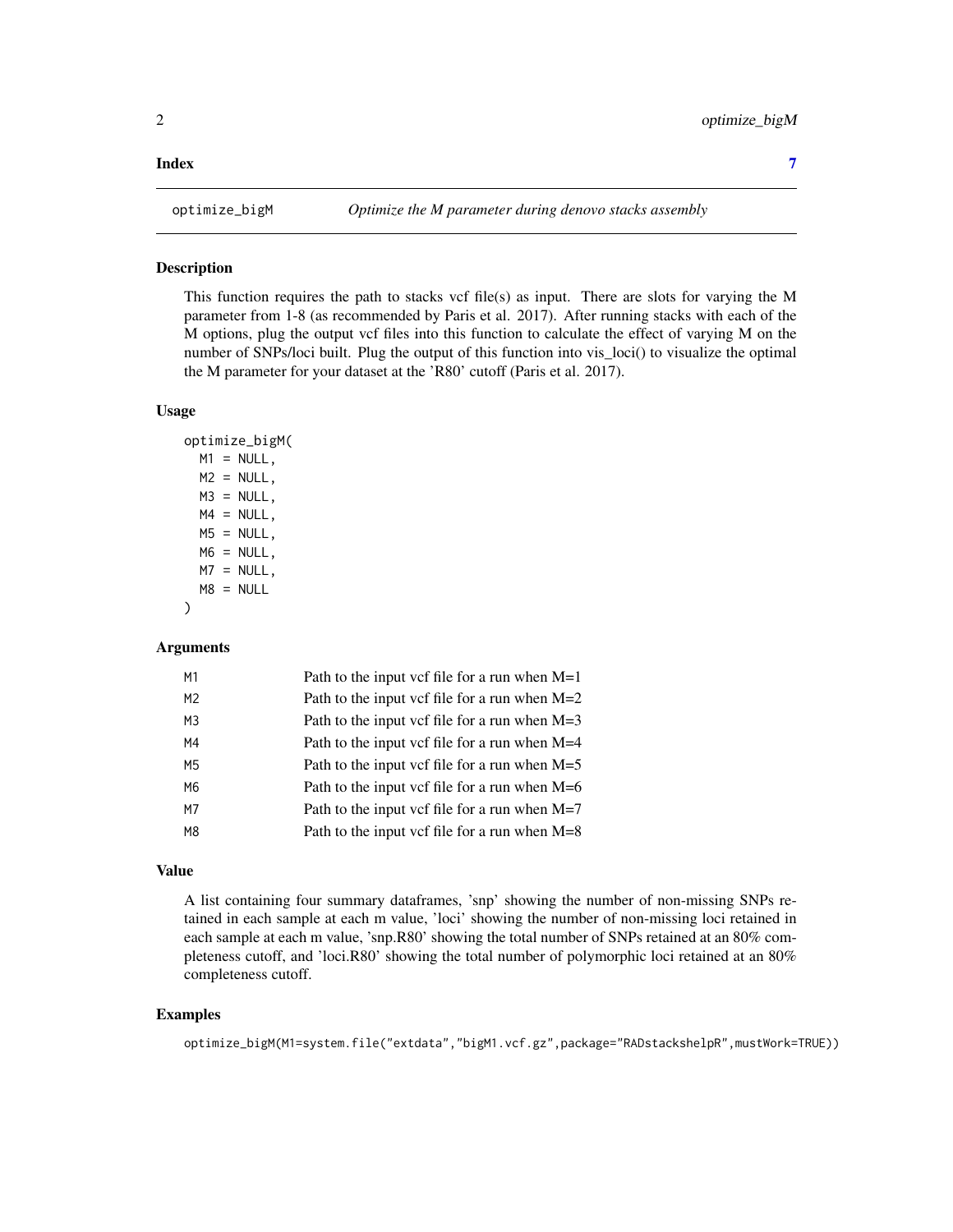#### <span id="page-1-0"></span>**Index** [7](#page-6-0) **7**

# Description

This function requires the path to stacks vcf file(s) as input. There are slots for varying the M parameter from 1-8 (as recommended by Paris et al. 2017). After running stacks with each of the M options, plug the output vcf files into this function to calculate the effect of varying M on the number of SNPs/loci built. Plug the output of this function into vis\_loci() to visualize the optimal the M parameter for your dataset at the 'R80' cutoff (Paris et al. 2017).

# Usage

```
optimize_bigM(
 M1 = NULL,M2 = NULL,M3 = NULL,MA = NULL,MS = NULL,
 M6 = NULL,
 M7 = NULL,
 MS = NULL)
```
#### Arguments

| M1             | Path to the input vcf file for a run when $M=1$ |
|----------------|-------------------------------------------------|
| M2             | Path to the input vcf file for a run when $M=2$ |
| M3             | Path to the input vcf file for a run when $M=3$ |
| M4             | Path to the input vcf file for a run when $M=4$ |
| M5             | Path to the input vcf file for a run when $M=5$ |
| M6             | Path to the input vcf file for a run when $M=6$ |
| M7             | Path to the input vcf file for a run when $M=7$ |
| M <sub>8</sub> | Path to the input vcf file for a run when $M=8$ |
|                |                                                 |

# Value

A list containing four summary dataframes, 'snp' showing the number of non-missing SNPs retained in each sample at each m value, 'loci' showing the number of non-missing loci retained in each sample at each m value, 'snp.R80' showing the total number of SNPs retained at an 80% completeness cutoff, and 'loci.R80' showing the total number of polymorphic loci retained at an 80% completeness cutoff.

# Examples

```
optimize_bigM(M1=system.file("extdata","bigM1.vcf.gz",package="RADstackshelpR",mustWork=TRUE))
```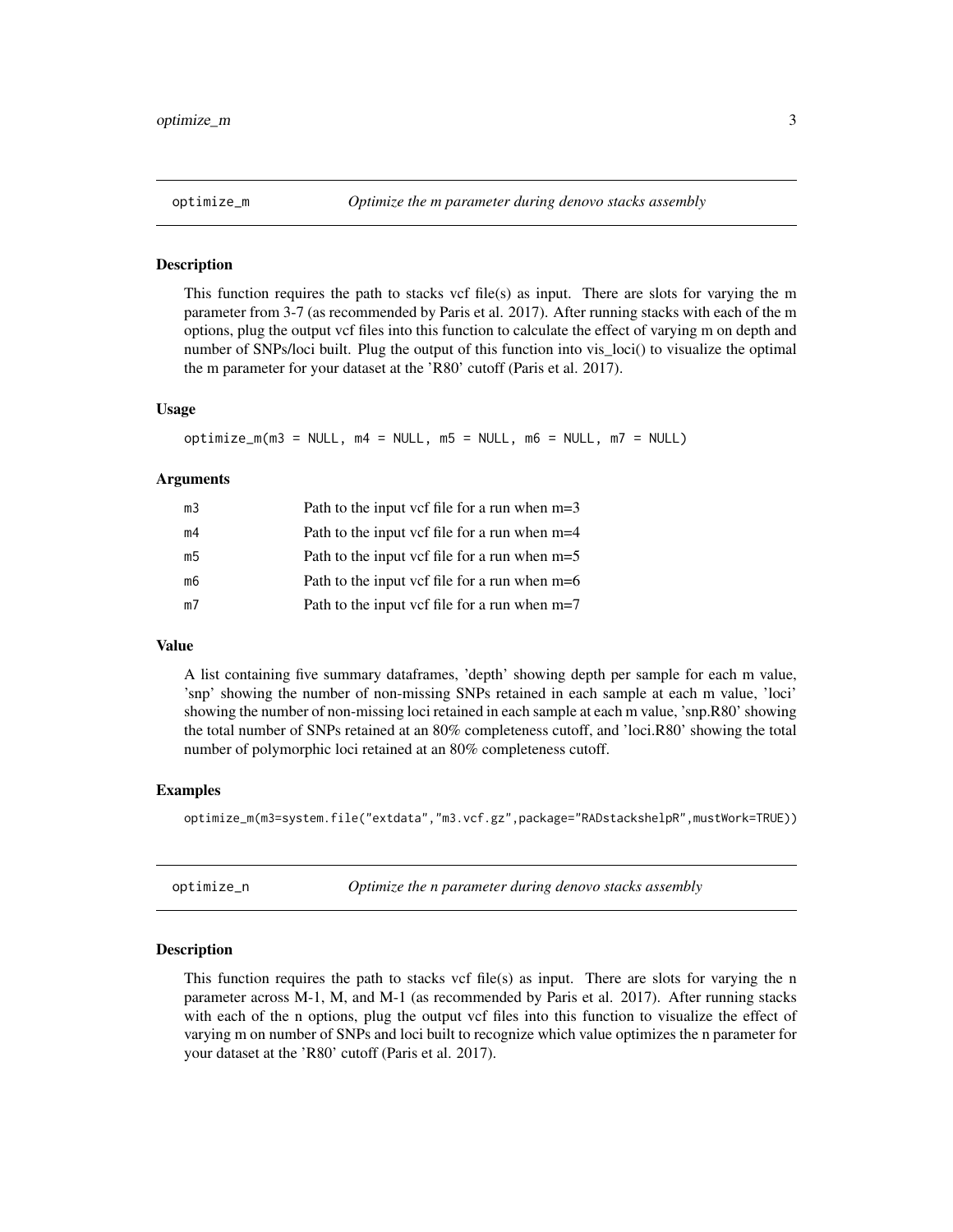<span id="page-2-0"></span>

### **Description**

This function requires the path to stacks vcf file(s) as input. There are slots for varying the m parameter from 3-7 (as recommended by Paris et al. 2017). After running stacks with each of the m options, plug the output vcf files into this function to calculate the effect of varying m on depth and number of SNPs/loci built. Plug the output of this function into vis\_loci() to visualize the optimal the m parameter for your dataset at the 'R80' cutoff (Paris et al. 2017).

# Usage

 $optimize_m(m3 = NULL, m4 = NULL, m5 = NULL, m6 = NULL, m7 = NULL)$ 

# Arguments

| m3 | Path to the input vcf file for a run when $m=3$ |
|----|-------------------------------------------------|
| m4 | Path to the input vcf file for a run when m=4   |
| m5 | Path to the input vcf file for a run when $m=5$ |
| m6 | Path to the input vcf file for a run when $m=6$ |
| m7 | Path to the input vcf file for a run when $m=7$ |
|    |                                                 |

# Value

A list containing five summary dataframes, 'depth' showing depth per sample for each m value, 'snp' showing the number of non-missing SNPs retained in each sample at each m value, 'loci' showing the number of non-missing loci retained in each sample at each m value, 'snp.R80' showing the total number of SNPs retained at an 80% completeness cutoff, and 'loci.R80' showing the total number of polymorphic loci retained at an 80% completeness cutoff.

#### Examples

optimize\_m(m3=system.file("extdata","m3.vcf.gz",package="RADstackshelpR",mustWork=TRUE))

optimize\_n *Optimize the n parameter during denovo stacks assembly*

#### Description

This function requires the path to stacks vcf file(s) as input. There are slots for varying the n parameter across M-1, M, and M-1 (as recommended by Paris et al. 2017). After running stacks with each of the n options, plug the output vcf files into this function to visualize the effect of varying m on number of SNPs and loci built to recognize which value optimizes the n parameter for your dataset at the 'R80' cutoff (Paris et al. 2017).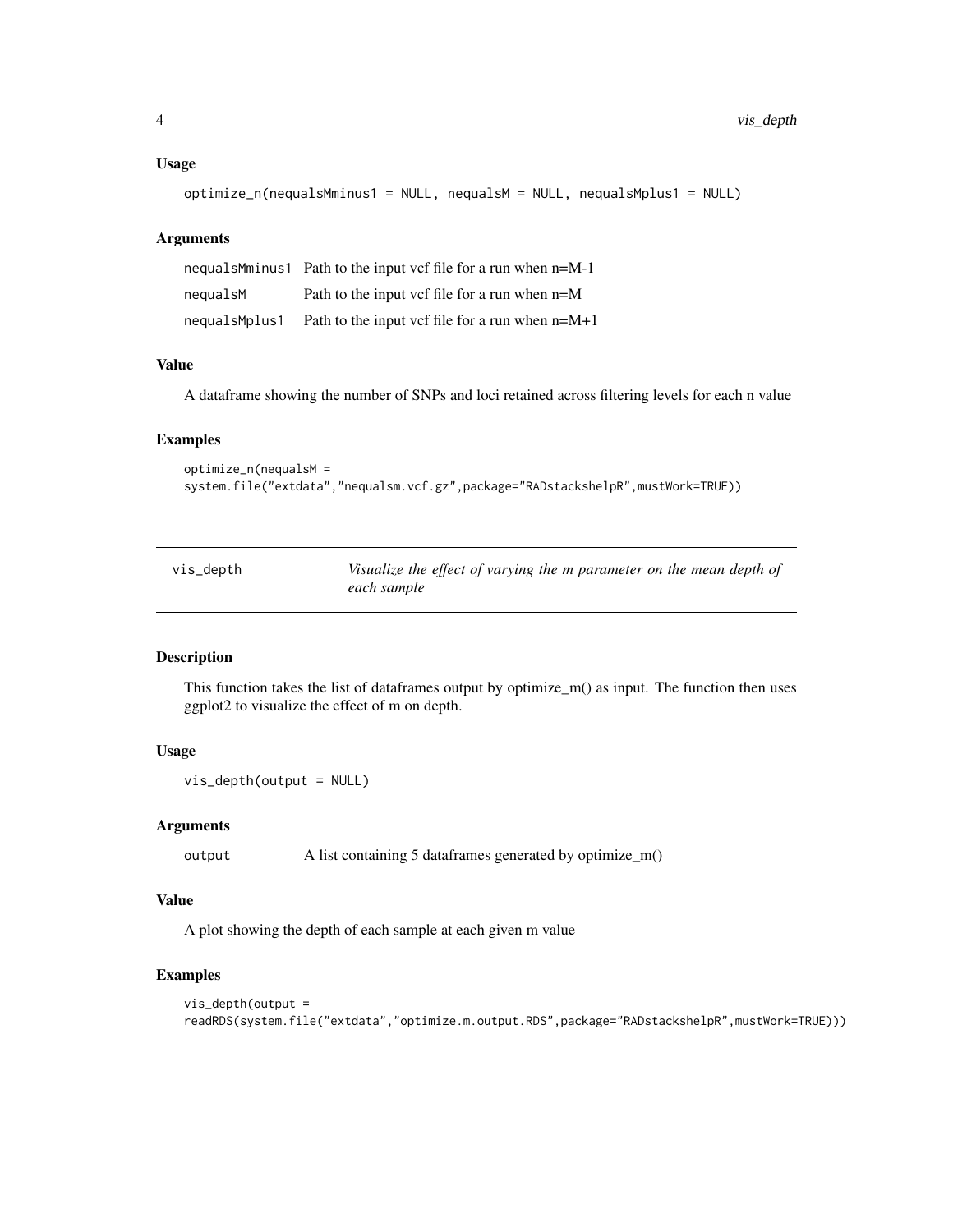# <span id="page-3-0"></span>Usage

```
optimize_n(nequalsMminus1 = NULL, nequalsM = NULL, nequalsMplus1 = NULL)
```
# Arguments

|               | nequalsMminus1 Path to the input vcf file for a run when $n=M-1$ |
|---------------|------------------------------------------------------------------|
| nequalsM      | Path to the input vcf file for a run when $n=M$                  |
| nequalsMplus1 | Path to the input vcf file for a run when $n=M+1$                |

# Value

A dataframe showing the number of SNPs and loci retained across filtering levels for each n value

# Examples

```
optimize_n(nequalsM =
system.file("extdata","nequalsm.vcf.gz",package="RADstackshelpR",mustWork=TRUE))
```

| vis_depth | Visualize the effect of varying the m parameter on the mean depth of |
|-----------|----------------------------------------------------------------------|
|           | each sample                                                          |

# Description

This function takes the list of dataframes output by optimize\_m() as input. The function then uses ggplot2 to visualize the effect of m on depth.

# Usage

```
vis_depth(output = NULL)
```
#### Arguments

output A list containing 5 dataframes generated by optimize\_m()

# Value

A plot showing the depth of each sample at each given m value

# Examples

```
vis_depth(output =
readRDS(system.file("extdata","optimize.m.output.RDS",package="RADstackshelpR",mustWork=TRUE)))
```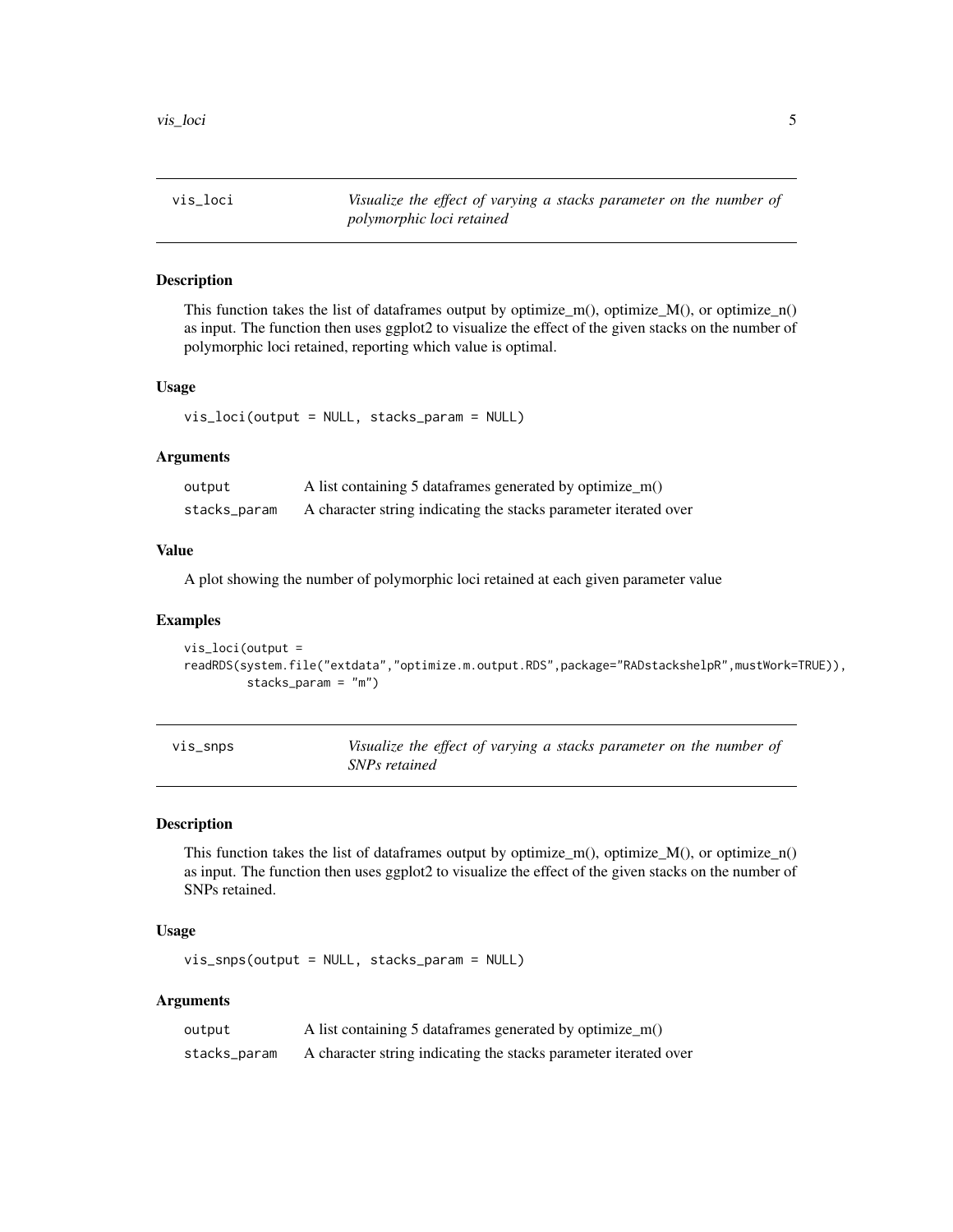<span id="page-4-0"></span>vis\_loci *Visualize the effect of varying a stacks parameter on the number of polymorphic loci retained*

# Description

This function takes the list of dataframes output by optimize\_m(), optimize\_M(), or optimize\_n() as input. The function then uses ggplot2 to visualize the effect of the given stacks on the number of polymorphic loci retained, reporting which value is optimal.

# Usage

vis\_loci(output = NULL, stacks\_param = NULL)

# Arguments

| output       | A list containing 5 data frames generated by optimize $m()$      |
|--------------|------------------------------------------------------------------|
| stacks_param | A character string indicating the stacks parameter iterated over |

## Value

A plot showing the number of polymorphic loci retained at each given parameter value

#### Examples

```
vis_loci(output =
readRDS(system.file("extdata","optimize.m.output.RDS",package="RADstackshelpR",mustWork=TRUE)),
        stacks_param = "m")
```

| $vis\_snps$ | Visualize the effect of varying a stacks parameter on the number of |
|-------------|---------------------------------------------------------------------|
|             | SNPs retained                                                       |

#### Description

This function takes the list of dataframes output by optimize\_m(), optimize\_M(), or optimize\_n() as input. The function then uses ggplot2 to visualize the effect of the given stacks on the number of SNPs retained.

# Usage

vis\_snps(output = NULL, stacks\_param = NULL)

# Arguments

| output       | A list containing 5 data frames generated by optimize $m()$      |
|--------------|------------------------------------------------------------------|
| stacks_param | A character string indicating the stacks parameter iterated over |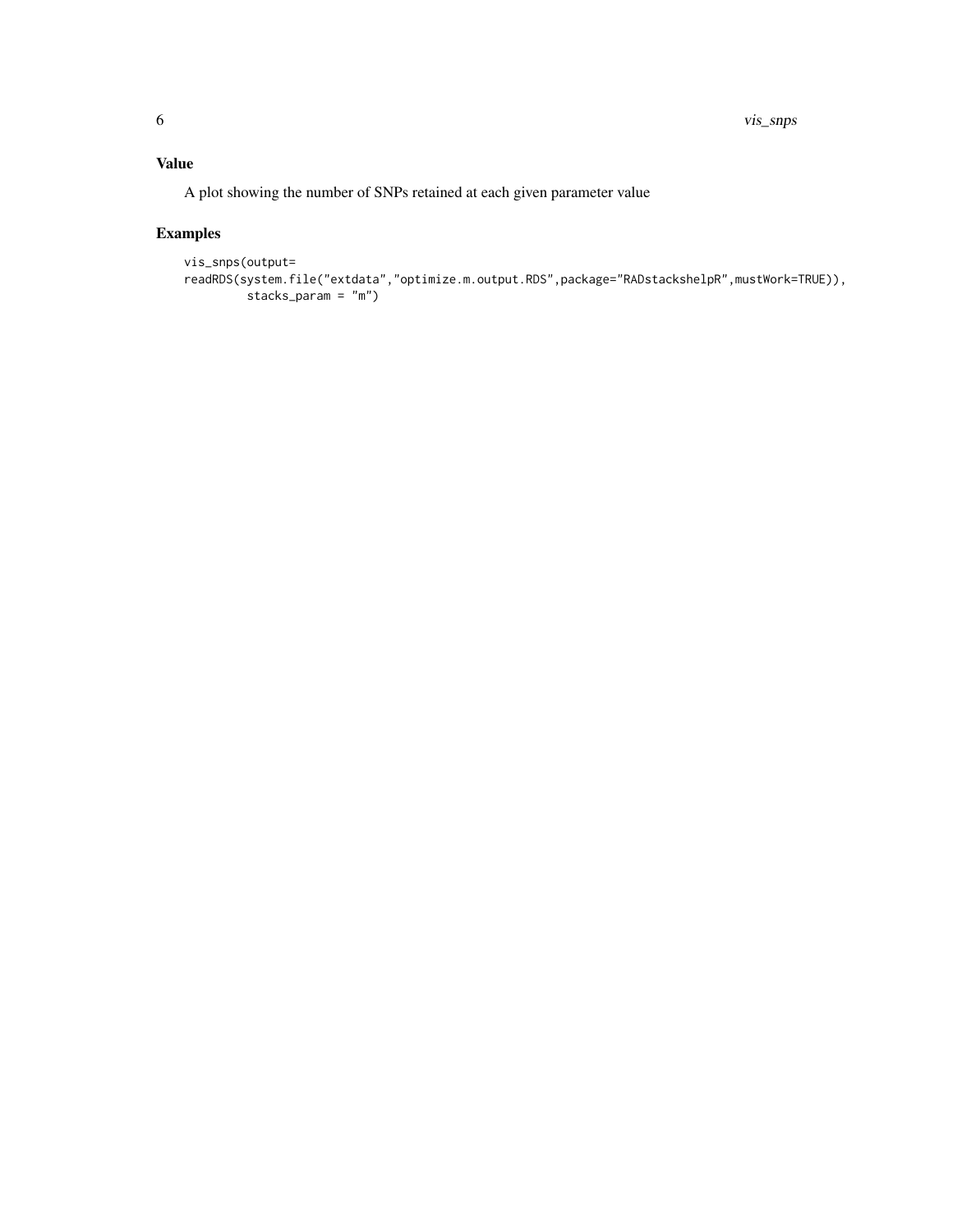# Value

A plot showing the number of SNPs retained at each given parameter value

# Examples

```
vis_snps(output=
readRDS(system.file("extdata","optimize.m.output.RDS",package="RADstackshelpR",mustWork=TRUE)),
        stacks_param = "m")
```